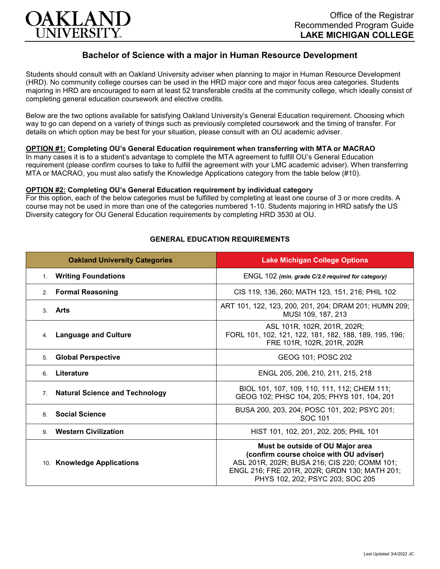

# **Bachelor of Science with a major in Human Resource Development**

Students should consult with an Oakland University adviser when planning to major in Human Resource Development (HRD). No community college courses can be used in the HRD major core and major focus area categories. Students majoring in HRD are encouraged to earn at least 52 transferable credits at the community college, which ideally consist of completing general education coursework and elective credits.

Below are the two options available for satisfying Oakland University's General Education requirement. Choosing which way to go can depend on a variety of things such as previously completed coursework and the timing of transfer. For details on which option may be best for your situation, please consult with an OU academic adviser.

## **OPTION #1: Completing OU's General Education requirement when transferring with MTA or MACRAO**

In many cases it is to a student's advantage to complete the MTA agreement to fulfill OU's General Education requirement (please confirm courses to take to fulfill the agreement with your LMC academic adviser). When transferring MTA or MACRAO, you must also satisfy the Knowledge Applications category from the table below (#10).

#### **OPTION #2: Completing OU's General Education requirement by individual category**

For this option, each of the below categories must be fulfilled by completing at least one course of 3 or more credits. A course may not be used in more than one of the categories numbered 1-10. Students majoring in HRD satisfy the US Diversity category for OU General Education requirements by completing HRD 3530 at OU.

| <b>Oakland University Categories</b>        | <b>Lake Michigan College Options</b>                                                                                                                                                                             |
|---------------------------------------------|------------------------------------------------------------------------------------------------------------------------------------------------------------------------------------------------------------------|
| <b>Writing Foundations</b><br>1.            | ENGL 102 (min. grade C/2.0 required for category)                                                                                                                                                                |
| 2. Formal Reasoning                         | CIS 119, 136, 260; MATH 123, 151, 216; PHIL 102                                                                                                                                                                  |
| Arts<br>3                                   | ART 101, 122, 123, 200, 201, 204; DRAM 201; HUMN 209;<br>MUSI 109, 187, 213                                                                                                                                      |
| <b>Language and Culture</b><br>4.           | ASL 101R, 102R, 201R, 202R;<br>FORL 101, 102, 121, 122, 181, 182, 188, 189, 195, 196;<br>FRE 101R, 102R, 201R, 202R                                                                                              |
| <b>Global Perspective</b><br>5.             | GEOG 101; POSC 202                                                                                                                                                                                               |
| Literature<br>6.                            | ENGL 205, 206, 210, 211, 215, 218                                                                                                                                                                                |
| <b>Natural Science and Technology</b><br>7. | BIOL 101, 107, 109, 110, 111, 112; CHEM 111;<br>GEOG 102; PHSC 104, 205; PHYS 101, 104, 201                                                                                                                      |
| <b>Social Science</b><br>8                  | BUSA 200, 203, 204; POSC 101, 202; PSYC 201;<br>SOC 101                                                                                                                                                          |
| <b>Western Civilization</b><br>9            | HIST 101, 102, 201, 202, 205; PHIL 101                                                                                                                                                                           |
| 10. Knowledge Applications                  | Must be outside of OU Major area<br>(confirm course choice with OU adviser)<br>ASL 201R, 202R; BUSA 216; CIS 220; COMM 101;<br>ENGL 216; FRE 201R, 202R; GRDN 130; MATH 201;<br>PHYS 102, 202; PSYC 203; SOC 205 |

## **GENERAL EDUCATION REQUIREMENTS**